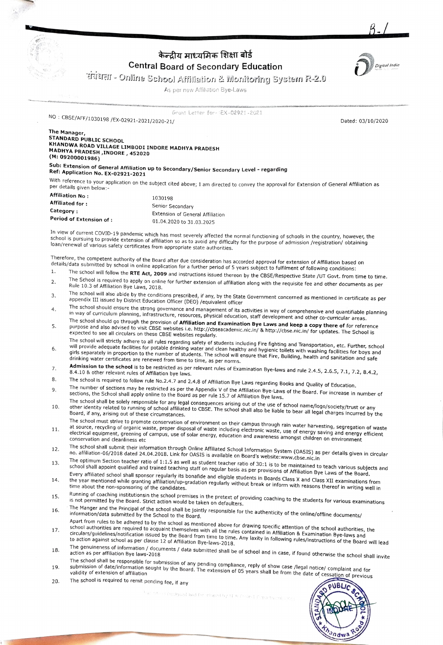

## केन्दीय माध्यमिक शिक्षा बोर्ड Central Board of Secondary Education



B./

EeA-Online School Affillation 2 Monitoring Systesn R-2.0

As per new Afiliation Bye-Laws

Grant Letter for TEX-02921-2021

NO: CBSE/AFF/1030198 /EX-02921-2021/2020-21/<br>Dated: 03/10/2020

www

## The Manager STANDARD PUBLIC SCHOOL KHANDWA ROAD VILLAGE LIMBODI INDORE MADHYA PRADESH MADHYA PRADESH ,INDORE, 452020 (M: 09200001986)

Sub: Extension of General Affiliation up to Secondary/Senior Secondary Level - regarding<br>Ref: Application No. EX-02921-2021<br>With reference to your application on the subject cited above; I am directed to convey the approva

With reference to your application on the subject cited above; I am directed to convey the approval for Extension of General Affiliation as

| <b>Affiliation No:</b>  | 1030198                          |
|-------------------------|----------------------------------|
| Affiliated for :        | Senior Secondary                 |
| Category :              | Extension of General Affiliation |
| Period of Extension of: | 01.04.2020 to 31.03.2025         |

In view of current COVID-19 pandemic which has most severely affected the normal functioning of schools in the country, however, the<br>School is pursuing to provide extension of affiliation so as to avoid any difficulty of t school is pursuing to provide extension of affiliation so as to avoid any difficulty for the purpose of admission /registration/ obtaining bann/renewal of various safety certificates from appropriate state authorities.

Therefore, the competent authority of the Board after due consideration has accorded approval for extension of Affiliation based on detalls/data submitted by school in online application for a further period of 5 years subject to fulfilment of following conditions: 1.

- 
- The school will follow the RTE Act, 2009 and instructions issued thereon by the CBSE/Respective State /UT Govt. from time to time.<br>The School is required to apply on online for further extension of affiliation along with t 2.
- The school will also abide by the conditions prescribed, if any, by the State Government concerned as mentioned in certificate as per<br>appendix III issued by District Education Officer (DEO) /equivalent officer<br>The school s 3.
- 4.
- in way of curriculum planning, infrastructure, resources, physical education, staff development and other co-curricular areas.<br>The school should go through the provision of **Affiliation and Examination Bye Laws and keep a** 5. The school will strictly adhere to all rules regarding safety of students including Fire fighting and Transportation, etc. Further, school
- 6. adequate facilities for potable drinking water and clean healthy and hygienic toilets with washing facilities for boys and<br>tely in proportion to the number of students. The school will ensure that Fire Buildies, brathing i girls separately in proportion to the number of students. The school will ensure that Fire, Building, health and sanitation and safe<br>drinking water certificates are renewed from time to time, as ner norms drinking water certificates are renewed from time to time, as per norms.<br> **Admission to the school** is to be restricted as per relevant rules of Examination Bye-laws and rule 2.4.5, 2.6.5, 7.1, 7.2, 8.4.2, 8.4.2, 8.4.10 &
- $7.$
- 8.
- 9.
- The number of sections may be restricted as per the Appendix V of the Affiliation Bye-Laws of the Board. For increase in number of<br>sections, the School shall apply online to the Board as per rule 15.7 of Affiliation Bye la
- The school must strive to promote conservation of environment on their campus through raine nugu, soutcupy successive of any both in detecting of school shall also be liable to bear all legal charges incurred by the Board, 10.
- The surver must strive to promote conservation on the manufacture conservation was interesting and energy experience and the surverse efficient electronic waste, proper disposal of waste including electronic waste, use of 11. at source, recyting or organic maste, proper onposervation and cleanling encoupline maste, ase or entirgy saving and energy<br>electrical equipment, greening of campus, use of solar energy, education and awareness amongst ch
- The school shall submit their information through Online Affiliated School Information System (OASIS) as per details given in circular<br>no. affiliation-06/2018 dated 24.04.2018. Link for OASIS is available on Board's websit 12.
- The operation section teacher ratio of the state of the sequence country of social is to be maintained to teach various subjects a<br>School shall appoint qualified and trained teaching staff on regular basis as per provision 13.
- Every affiliated school shall sponsor regularly its bonafide and eligible students in Boards of Armidubir bye Laws of the Board.<br>the year mentioned while granting affiliation/up-gradation regularly without break or inform 14.
- Running of coaching institutionsin the school premises in the pretext of providing coaching to the students for various examinations<br>is not permitted by the Board. Strict action would be taken on defaulters.<br>The Manger and 15.
- 16.
- montancy apart from rules to be adhered to by the school as mentioned above for drawing specific attention of the school authorities, the school authorities, the school authorities are required to acquaint themselves with School admonters are required to bequeint dismostres man an thermos contained in miniatum a Ladmination bye-laws and<br>circulars/guidelines/notification issued by the Board from time to time. Any laxity in following rules/in 17.
- The genuineness of information / documents / data submitted shall be of school and in case, if found otherwise the school shall invite<br>action as per affiliation Bye laws-2018
- action as per annibodic by computer and the school of any pending compliance, reply of show case /legal notice/ complaint and for<br>submission of date/information sought by the Board. The extension of 05 years shall be from 19.
- The school is required to remit pending fee, if any